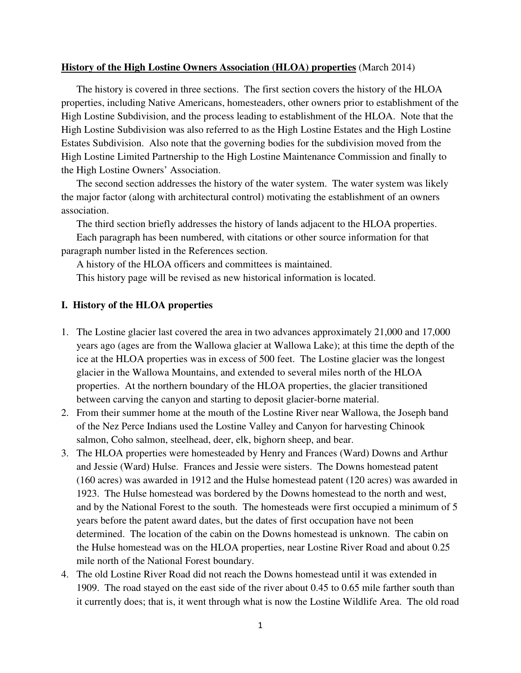## **History of the High Lostine Owners Association (HLOA) properties** (March 2014)

The history is covered in three sections. The first section covers the history of the HLOA properties, including Native Americans, homesteaders, other owners prior to establishment of the High Lostine Subdivision, and the process leading to establishment of the HLOA. Note that the High Lostine Subdivision was also referred to as the High Lostine Estates and the High Lostine Estates Subdivision. Also note that the governing bodies for the subdivision moved from the High Lostine Limited Partnership to the High Lostine Maintenance Commission and finally to the High Lostine Owners' Association.

The second section addresses the history of the water system. The water system was likely the major factor (along with architectural control) motivating the establishment of an owners association.

The third section briefly addresses the history of lands adjacent to the HLOA properties.

Each paragraph has been numbered, with citations or other source information for that paragraph number listed in the References section.

A history of the HLOA officers and committees is maintained. This history page will be revised as new historical information is located.

## **I. History of the HLOA properties**

- 1. The Lostine glacier last covered the area in two advances approximately 21,000 and 17,000 years ago (ages are from the Wallowa glacier at Wallowa Lake); at this time the depth of the ice at the HLOA properties was in excess of 500 feet. The Lostine glacier was the longest glacier in the Wallowa Mountains, and extended to several miles north of the HLOA properties. At the northern boundary of the HLOA properties, the glacier transitioned between carving the canyon and starting to deposit glacier-borne material.
- 2. From their summer home at the mouth of the Lostine River near Wallowa, the Joseph band of the Nez Perce Indians used the Lostine Valley and Canyon for harvesting Chinook salmon, Coho salmon, steelhead, deer, elk, bighorn sheep, and bear.
- 3. The HLOA properties were homesteaded by Henry and Frances (Ward) Downs and Arthur and Jessie (Ward) Hulse. Frances and Jessie were sisters. The Downs homestead patent (160 acres) was awarded in 1912 and the Hulse homestead patent (120 acres) was awarded in 1923. The Hulse homestead was bordered by the Downs homestead to the north and west, and by the National Forest to the south. The homesteads were first occupied a minimum of 5 years before the patent award dates, but the dates of first occupation have not been determined. The location of the cabin on the Downs homestead is unknown. The cabin on the Hulse homestead was on the HLOA properties, near Lostine River Road and about 0.25 mile north of the National Forest boundary.
- 4. The old Lostine River Road did not reach the Downs homestead until it was extended in 1909. The road stayed on the east side of the river about 0.45 to 0.65 mile farther south than it currently does; that is, it went through what is now the Lostine Wildlife Area. The old road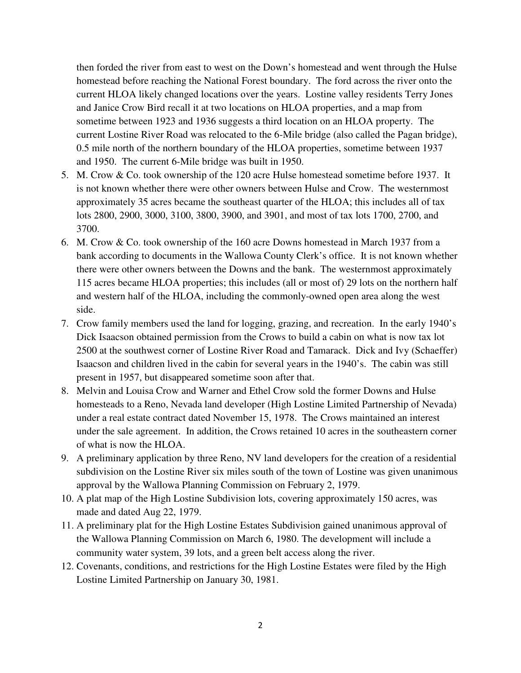then forded the river from east to west on the Down's homestead and went through the Hulse homestead before reaching the National Forest boundary. The ford across the river onto the current HLOA likely changed locations over the years. Lostine valley residents Terry Jones and Janice Crow Bird recall it at two locations on HLOA properties, and a map from sometime between 1923 and 1936 suggests a third location on an HLOA property. The current Lostine River Road was relocated to the 6-Mile bridge (also called the Pagan bridge), 0.5 mile north of the northern boundary of the HLOA properties, sometime between 1937 and 1950. The current 6-Mile bridge was built in 1950.

- 5. M. Crow & Co. took ownership of the 120 acre Hulse homestead sometime before 1937. It is not known whether there were other owners between Hulse and Crow. The westernmost approximately 35 acres became the southeast quarter of the HLOA; this includes all of tax lots 2800, 2900, 3000, 3100, 3800, 3900, and 3901, and most of tax lots 1700, 2700, and 3700.
- 6. M. Crow & Co. took ownership of the 160 acre Downs homestead in March 1937 from a bank according to documents in the Wallowa County Clerk's office. It is not known whether there were other owners between the Downs and the bank. The westernmost approximately 115 acres became HLOA properties; this includes (all or most of) 29 lots on the northern half and western half of the HLOA, including the commonly-owned open area along the west side.
- 7. Crow family members used the land for logging, grazing, and recreation. In the early 1940's Dick Isaacson obtained permission from the Crows to build a cabin on what is now tax lot 2500 at the southwest corner of Lostine River Road and Tamarack. Dick and Ivy (Schaeffer) Isaacson and children lived in the cabin for several years in the 1940's. The cabin was still present in 1957, but disappeared sometime soon after that.
- 8. Melvin and Louisa Crow and Warner and Ethel Crow sold the former Downs and Hulse homesteads to a Reno, Nevada land developer (High Lostine Limited Partnership of Nevada) under a real estate contract dated November 15, 1978. The Crows maintained an interest under the sale agreement. In addition, the Crows retained 10 acres in the southeastern corner of what is now the HLOA.
- 9. A preliminary application by three Reno, NV land developers for the creation of a residential subdivision on the Lostine River six miles south of the town of Lostine was given unanimous approval by the Wallowa Planning Commission on February 2, 1979.
- 10. A plat map of the High Lostine Subdivision lots, covering approximately 150 acres, was made and dated Aug 22, 1979.
- 11. A preliminary plat for the High Lostine Estates Subdivision gained unanimous approval of the Wallowa Planning Commission on March 6, 1980. The development will include a community water system, 39 lots, and a green belt access along the river.
- 12. Covenants, conditions, and restrictions for the High Lostine Estates were filed by the High Lostine Limited Partnership on January 30, 1981.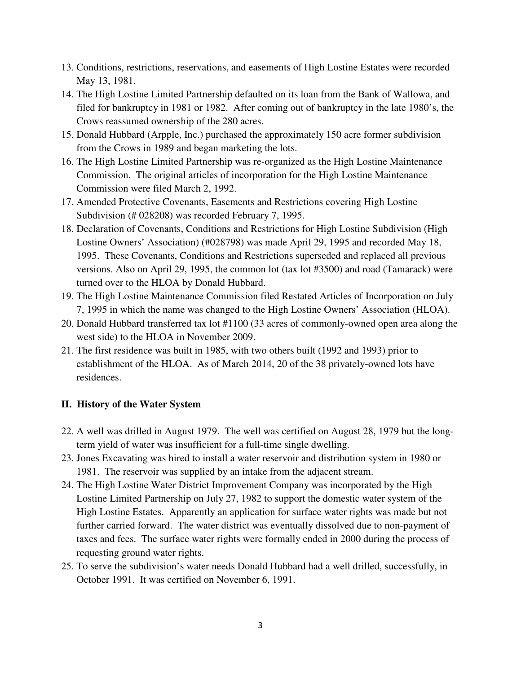- 13. Conditions, restrictions, reservations, and easements of High Lostine Estates were recorded May 13, 1981.
- 14. The High Lostine Limited Partnership defaulted on its loan from the Bank of Wallowa, and filed for bankruptcy in 1981 or 1982. After coming out of bankruptcy in the late 1980's, the Crows reassumed ownership of the 280 acres.
- 15. Donald Hubbard (Arpple, Inc.) purchased the approximately 150 acre former subdivision from the Crows in 1989 and began marketing the lots.
- 16. The High Lostine Limited Partnership was re-organized as the High Lostine Maintenance Commission. The original articles of incorporation for the High Lostine Maintenance Commission were filed March 2, 1992.
- 17. Amended Protective Covenants, Easements and Restrictions covering High Lostine Subdivision (# 028208) was recorded February 7, 1995.
- 18. Declaration of Covenants, Conditions and Restrictions for High Lostine Subdivision (High Lostine Owners' Association) (#028798) was made April 29, 1995 and recorded May 18, 1995. These Covenants, Conditions and Restrictions superseded and replaced all previous versions. Also on April 29, 1995, the common lot (tax lot #3500) and road (Tamarack) were turned over to the HLOA by Donald Hubbard.
- 19. The High Lostine Maintenance Commission filed Restated Articles of Incorporation on July 7, 1995 in which the name was changed to the High Lostine Owners' Association (HLOA).
- 20. Donald Hubbard transferred tax lot #1100 (33 acres of commonly-owned open area along the west side) to the HLOA in November 2009.
- 21. The first residence was built in 1985, with two others built (1992 and 1993) prior to establishment of the HLOA. As of March 2014, 20 of the 38 privately-owned lots have residences.

## **II. History of the Water System**

- 22. A well was drilled in August 1979. The well was certified on August 28, 1979 but the longterm yield of water was insufficient for a full-time single dwelling.
- 23. Jones Excavating was hired to install a water reservoir and distribution system in 1980 or 1981. The reservoir was supplied by an intake from the adjacent stream.
- 24. The High Lostine Water District Improvement Company was incorporated by the High Lostine Limited Partnership on July 27, 1982 to support the domestic water system of the High Lostine Estates. Apparently an application for surface water rights was made but not further carried forward. The water district was eventually dissolved due to non-payment of taxes and fees. The surface water rights were formally ended in 2000 during the process of requesting ground water rights.
- 25. To serve the subdivision's water needs Donald Hubbard had a well drilled, successfully, in October 1991. It was certified on November 6, 1991.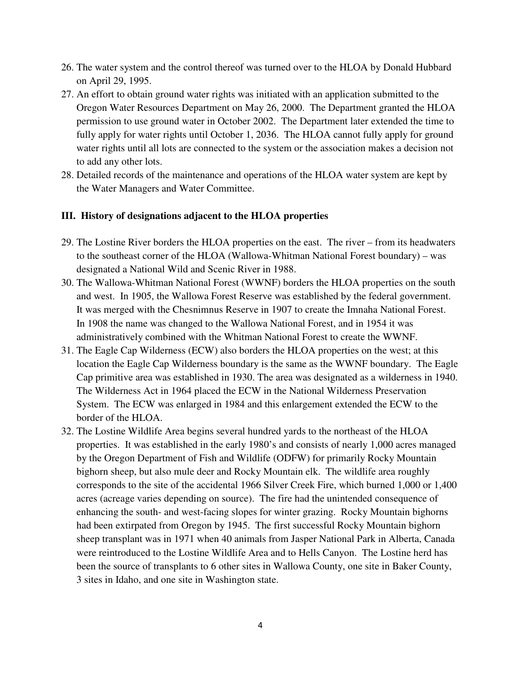- 26. The water system and the control thereof was turned over to the HLOA by Donald Hubbard on April 29, 1995.
- 27. An effort to obtain ground water rights was initiated with an application submitted to the Oregon Water Resources Department on May 26, 2000. The Department granted the HLOA permission to use ground water in October 2002. The Department later extended the time to fully apply for water rights until October 1, 2036. The HLOA cannot fully apply for ground water rights until all lots are connected to the system or the association makes a decision not to add any other lots.
- 28. Detailed records of the maintenance and operations of the HLOA water system are kept by the Water Managers and Water Committee.

## **III. History of designations adjacent to the HLOA properties**

- 29. The Lostine River borders the HLOA properties on the east. The river from its headwaters to the southeast corner of the HLOA (Wallowa-Whitman National Forest boundary) – was designated a National Wild and Scenic River in 1988.
- 30. The Wallowa-Whitman National Forest (WWNF) borders the HLOA properties on the south and west. In 1905, the Wallowa Forest Reserve was established by the federal government. It was merged with the Chesnimnus Reserve in 1907 to create the Imnaha National Forest. In 1908 the name was changed to the Wallowa National Forest, and in 1954 it was administratively combined with the Whitman National Forest to create the WWNF.
- 31. The Eagle Cap Wilderness (ECW) also borders the HLOA properties on the west; at this location the Eagle Cap Wilderness boundary is the same as the WWNF boundary. The Eagle Cap primitive area was established in 1930. The area was designated as a wilderness in 1940. The Wilderness Act in 1964 placed the ECW in the National Wilderness Preservation System. The ECW was enlarged in 1984 and this enlargement extended the ECW to the border of the HLOA.
- 32. The Lostine Wildlife Area begins several hundred yards to the northeast of the HLOA properties. It was established in the early 1980's and consists of nearly 1,000 acres managed by the Oregon Department of Fish and Wildlife (ODFW) for primarily Rocky Mountain bighorn sheep, but also mule deer and Rocky Mountain elk. The wildlife area roughly corresponds to the site of the accidental 1966 Silver Creek Fire, which burned 1,000 or 1,400 acres (acreage varies depending on source). The fire had the unintended consequence of enhancing the south- and west-facing slopes for winter grazing. Rocky Mountain bighorns had been extirpated from Oregon by 1945. The first successful Rocky Mountain bighorn sheep transplant was in 1971 when 40 animals from Jasper National Park in Alberta, Canada were reintroduced to the Lostine Wildlife Area and to Hells Canyon. The Lostine herd has been the source of transplants to 6 other sites in Wallowa County, one site in Baker County, 3 sites in Idaho, and one site in Washington state.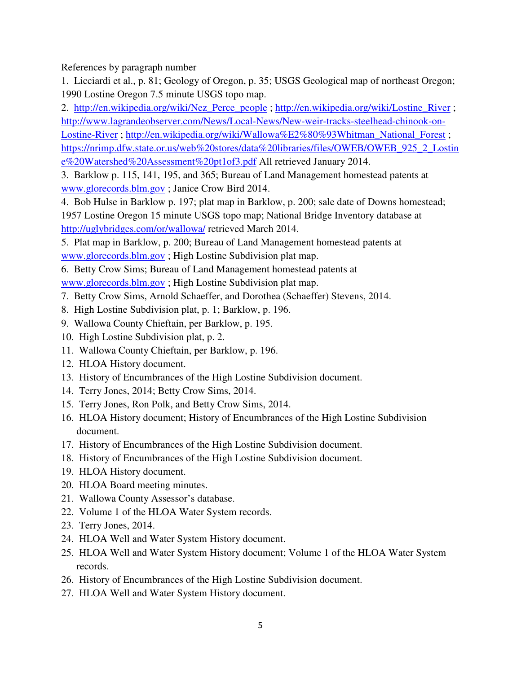References by paragraph number

1. Licciardi et al., p. 81; Geology of Oregon, p. 35; USGS Geological map of northeast Oregon; 1990 Lostine Oregon 7.5 minute USGS topo map.

2. http://en.wikipedia.org/wiki/Nez\_Perce\_people ; http://en.wikipedia.org/wiki/Lostine\_River ; http://www.lagrandeobserver.com/News/Local-News/New-weir-tracks-steelhead-chinook-on-Lostine-River; http://en.wikipedia.org/wiki/Wallowa%E2%80%93Whitman\_National\_Forest; https://nrimp.dfw.state.or.us/web%20stores/data%20libraries/files/OWEB/OWEB\_925\_2\_Lostin e%20Watershed%20Assessment%20pt1of3.pdf All retrieved January 2014.

3. Barklow p. 115, 141, 195, and 365; Bureau of Land Management homestead patents at www.glorecords.blm.gov ; Janice Crow Bird 2014.

4. Bob Hulse in Barklow p. 197; plat map in Barklow, p. 200; sale date of Downs homestead; 1957 Lostine Oregon 15 minute USGS topo map; National Bridge Inventory database at http://uglybridges.com/or/wallowa/ retrieved March 2014.

5. Plat map in Barklow, p. 200; Bureau of Land Management homestead patents at www.glorecords.blm.gov ; High Lostine Subdivision plat map.

6. Betty Crow Sims; Bureau of Land Management homestead patents at www.glorecords.blm.gov ; High Lostine Subdivision plat map.

- 7. Betty Crow Sims, Arnold Schaeffer, and Dorothea (Schaeffer) Stevens, 2014.
- 8. High Lostine Subdivision plat, p. 1; Barklow, p. 196.
- 9. Wallowa County Chieftain, per Barklow, p. 195.
- 10. High Lostine Subdivision plat, p. 2.
- 11. Wallowa County Chieftain, per Barklow, p. 196.
- 12. HLOA History document.
- 13. History of Encumbrances of the High Lostine Subdivision document.
- 14. Terry Jones, 2014; Betty Crow Sims, 2014.
- 15. Terry Jones, Ron Polk, and Betty Crow Sims, 2014.
- 16. HLOA History document; History of Encumbrances of the High Lostine Subdivision document.
- 17. History of Encumbrances of the High Lostine Subdivision document.
- 18. History of Encumbrances of the High Lostine Subdivision document.
- 19. HLOA History document.
- 20. HLOA Board meeting minutes.
- 21. Wallowa County Assessor's database.
- 22. Volume 1 of the HLOA Water System records.
- 23. Terry Jones, 2014.
- 24. HLOA Well and Water System History document.
- 25. HLOA Well and Water System History document; Volume 1 of the HLOA Water System records.
- 26. History of Encumbrances of the High Lostine Subdivision document.
- 27. HLOA Well and Water System History document.